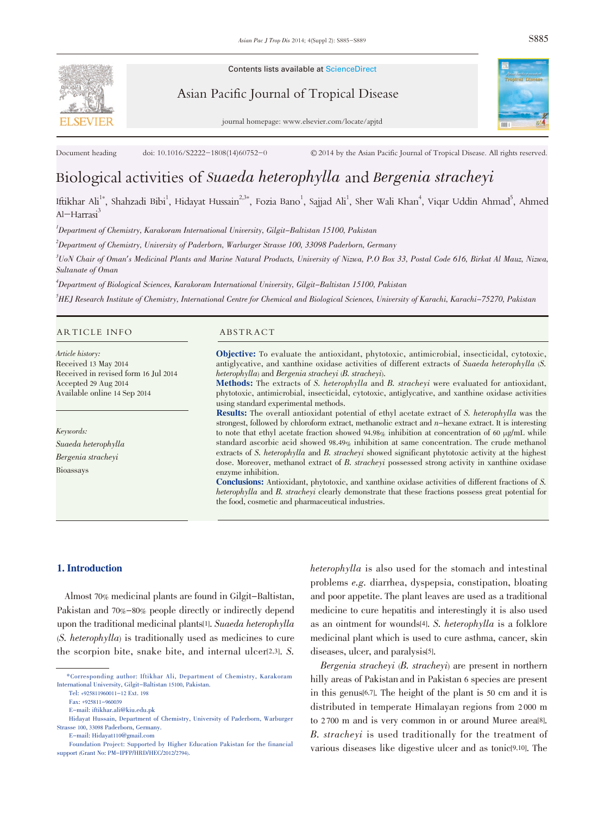Contents lists available at ScienceDirect

Asian Pacific Journal of Tropical Disease



Document heading doi: 10.1016/S2222-1808(14)60752-0 © 2014 by the Asian Pacific Journal of Tropical Disease. All rights reserved.

# Biological activities of Suaeda heterophylla and Bergenia stracheyi

Iftikhar Ali<sup>1\*</sup>, Shahzadi Bibi<sup>1</sup>, Hidayat Hussain<sup>2,3\*</sup>, Fozia Bano<sup>1</sup>, Sajjad Ali<sup>1</sup>, Sher Wali Khan<sup>4</sup>, Viqar Uddin Ahmad<sup>5</sup>, Ahmed Al-Harrasi<sup>3</sup>

 $^{\prime}$ Department of Chemistry, Karakoram International University, Gilgit–Baltistan 15100, Pakistan

 $^2$ Department of Chemistry, University of Paderborn, Warburger Strasse 100, 33098 Paderborn, Germany

3 UoN Chair of Oman's Medicinal Plants and Marine Natural Products, University of Nizwa, P.O Box 33, Postal Code 616, Birkat Al Mauz, Nizwa, Sultanate of Oman

4 Department of Biological Sciences, Karakoram International University, Gilgit-Baltistan 15100, Pakistan

<sup>5</sup>HEJ Research Institute of Chemistry, International Centre for Chemical and Biological Sciences, University of Karachi, Karachi–75270, Pakistan

#### ARTICLE INFO ABSTRACT

Article history: Received 13 May 2014 Received in revised form 16 Jul 2014 Accepted 29 Aug 2014 Available online 14 Sep 2014

Keywords: Suaeda heterophylla Bergenia stracheyi Bioassays

Objective: To evaluate the antioxidant, phytotoxic, antimicrobial, insecticidal, cytotoxic, antiglycative, and xanthine oxidase activities of different extracts of Suaeda heterophylla (S. heterophylla) and Bergenia stracheyi (B. stracheyi).

Methods: The extracts of S. heterophylla and B. stracheyi were evaluated for antioxidant, phytotoxic, antimicrobial, insecticidal, cytotoxic, antiglycative, and xanthine oxidase activities using standard experimental methods.

Results: The overall antioxidant potential of ethyl acetate extract of S. heterophylla was the strongest, followed by chloroform extract, methanolic extract and n-hexane extract. It is interesting to note that ethyl acetate fraction showed  $94.98\%$  inhibition at concentration of 60  $\mu g/mL$  while standard ascorbic acid showed 98.49% inhibition at same concentration. The crude methanol extracts of S. heterophylla and B. stracheyi showed significant phytotoxic activity at the highest dose. Moreover, methanol extract of B. stracheyi possessed strong activity in xanthine oxidase enzyme inhibition.

Conclusions: Antioxidant, phytotoxic, and xanthine oxidase activities of different fractions of S. heterophylla and B. stracheyi clearly demonstrate that these fractions possess great potential for the food, cosmetic and pharmaceutical industries.

# 1. Introduction

Almost 70% medicinal plants are found in Gilgit-Baltistan, Pakistan and 70%-80% people directly or indirectly depend upon the traditional medicinal plants[1]. Suaeda heterophylla (S. heterophylla) is traditionally used as medicines to cure the scorpion bite, snake bite, and internal ulcer<sup>[2,3]</sup>. S.

E-mail: Hidayat110@gmail.com

heterophylla is also used for the stomach and intestinal problems e.g. diarrhea, dyspepsia, constipation, bloating and poor appetite. The plant leaves are used as a traditional medicine to cure hepatitis and interestingly it is also used as an ointment for wounds[4]. S. heterophylla is a folklore medicinal plant which is used to cure asthma, cancer, skin diseases, ulcer, and paralysis<sup>[5]</sup>.

Bergenia stracheyi (B. stracheyi) are present in northern hilly areas of Pakistan and in Pakistan 6 species are present in this genus[6,7]. The height of the plant is 50 cm and it is distributed in temperate Himalayan regions from 2 000 m to 2 700 m and is very common in or around Muree area[8]. B. stracheyi is used traditionally for the treatment of various diseases like digestive ulcer and as tonic<sup>[9,10]</sup>. The

<sup>\*</sup>Corresponding author: Iftikhar Ali, Department of Chemistry, Karakoram International University, Gilgit-Baltistan 15100, Pakistan.

Tel: +925811960011-12 Ext. 198 Fax: +925811-960039

E-mail: iftikhar.ali@kiu.edu.pk

Hidayat Hussain, Department of Chemistry, University of Paderborn, Warburger Strasse 100, 33098 Paderborn, Germany.

Foundation Project: Supported by Higher Education Pakistan for the financial support (Grant No: PM-IPFP/HRD/HEC/2012/2794).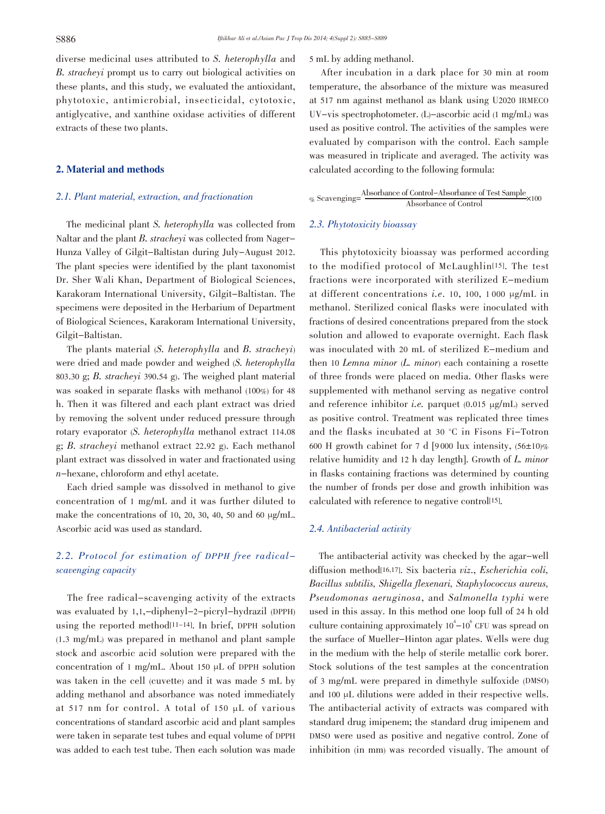diverse medicinal uses attributed to S. heterophylla and B. stracheyi prompt us to carry out biological activities on these plants, and this study, we evaluated the antioxidant, phytotoxic, antimicrobial, insecticidal, cytotoxic, antiglycative, and xanthine oxidase activities of different extracts of these two plants.

# 2. Material and methods

# 2.1. Plant material, extraction, and fractionation

The medicinal plant S. heterophylla was collected from Naltar and the plant B. stracheyi was collected from Nager-Hunza Valley of Gilgit-Baltistan during July-August 2012. The plant species were identified by the plant taxonomist Dr. Sher Wali Khan, Department of Biological Sciences, Karakoram International University, Gilgit-Baltistan. The specimens were deposited in the Herbarium of Department of Biological Sciences, Karakoram International University, Gilgit-Baltistan.

The plants material (S. heterophylla and B. stracheyi) were dried and made powder and weighed (S. heterophylla 803.30 g; B. stracheyi 390.54 g). The weighed plant material was soaked in separate flasks with methanol (100%) for 48 h. Then it was filtered and each plant extract was dried by removing the solvent under reduced pressure through rotary evaporator (S. heterophylla methanol extract 114.08 g; B. stracheyi methanol extract 22.92 g). Each methanol plant extract was dissolved in water and fractionated using n-hexane, chloroform and ethyl acetate.

Each dried sample was dissolved in methanol to give concentration of 1 mg/mL and it was further diluted to make the concentrations of 10, 20, 30, 40, 50 and 60  $\mu$ g/mL. Ascorbic acid was used as standard.

# 2.2. Protocol for estimation of DPPH free radicalscavenging capacity

The free radical-scavenging activity of the extracts was evaluated by 1,1,-diphenyl-2-picryl-hydrazil (DPPH) using the reported method[11-14]. In brief, DPPH solution (1.3 mg/mL) was prepared in methanol and plant sample stock and ascorbic acid solution were prepared with the concentration of 1 mg/mL. About 150 µL of DPPH solution was taken in the cell (cuvette) and it was made 5 mL by adding methanol and absorbance was noted immediately at 517 nm for control. A total of 150 µL of various concentrations of standard ascorbic acid and plant samples were taken in separate test tubes and equal volume of DPPH was added to each test tube. Then each solution was made 5 mL by adding methanol.

After incubation in a dark place for 30 min at room temperature, the absorbance of the mixture was measured at 517 nm against methanol as blank using U2020 IRMECO UV-vis spectrophotometer. (L)-ascorbic acid (1 mg/mL) was used as positive control. The activities of the samples were evaluated by comparison with the control. Each sample was measured in triplicate and averaged. The activity was calculated according to the following formula:

% Scavenging= $\frac{\text{Absorbane of Control} - \text{Absorbance of Test Sample}}{\text{Absorbance of Control}} \times 100$ 

#### 2.3. Phytotoxicity bioassay

This phytotoxicity bioassay was performed according to the modified protocol of McLaughlin[15]. The test fractions were incorporated with sterilized E-medium at different concentrations *i.e.* 10, 100, 1000  $\mu$ g/mL in methanol. Sterilized conical flasks were inoculated with fractions of desired concentrations prepared from the stock solution and allowed to evaporate overnight. Each flask was inoculated with 20 mL of sterilized E-medium and then <sup>10</sup> Lemna minor (L. minor) each containing a rosette of three fronds were placed on media. Other flasks were supplemented with methanol serving as negative control and reference inhibitor *i.e.* parquet  $(0.015 \text{ µg/mL})$  served as positive control. Treatment was replicated three times and the flasks incubated at 30 °C in Fisons Fi-Totron 600 H growth cabinet for 7 d [9000 lux intensity,  $(56\pm10)\%$ relative humidity and <sup>12</sup> h day length]. Growth of L. minor in flasks containing fractions was determined by counting the number of fronds per dose and growth inhibition was calculated with reference to negative control[15].

#### 2.4. Antibacterial activity

The antibacterial activity was checked by the agar-well diffusion method[16,17]. Six bacteria viz., Escherichia coli, Bacillus subtilis, Shigella flexenari, Staphylococcus aureus, Pseudomonas aeruginosa, and Salmonella typhi were used in this assay. In this method one loop full of 24 h old culture containing approximately  $10^4 - 10^6$  CFU was spread on the surface of Mueller-Hinton agar plates. Wells were dug in the medium with the help of sterile metallic cork borer. Stock solutions of the test samples at the concentration of 3 mg/mL were prepared in dimethyle sulfoxide (DMSO) and 100 µL dilutions were added in their respective wells. The antibacterial activity of extracts was compared with standard drug imipenem; the standard drug imipenem and DMSO were used as positive and negative control. Zone of inhibition (in mm) was recorded visually. The amount of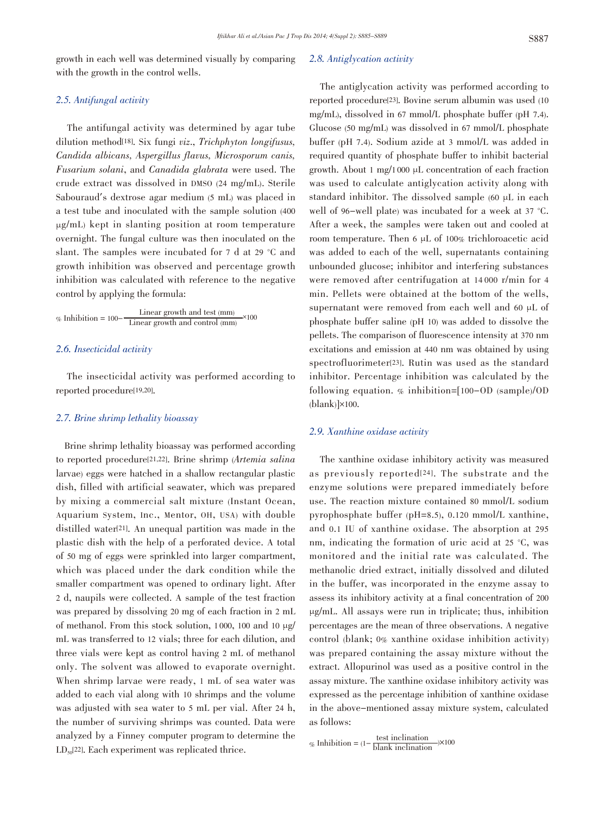growth in each well was determined visually by comparing with the growth in the control wells.

# 2.5. Antifungal activity

The antifungal activity was determined by agar tube dilution method<sup>[18]</sup>. Six fungi viz., Trichphyton longifusus, Candida albicans, Aspergillus flavus, Microsporum canis, Fusarium solani, and Canadida glabrata were used. The crude extract was dissolved in DMSO (24 mg/mL). Sterile Sabouraud's dextrose agar medium (5 mL) was placed in a test tube and inoculated with the sample solution (400 µg/mL) kept in slanting position at room temperature overnight. The fungal culture was then inoculated on the slant. The samples were incubated for 7 d at 29 °C and growth inhibition was observed and percentage growth inhibition was calculated with reference to the negative control by applying the formula:

$$
\% Inhibition = 100-\frac{Linear growth and test (mm)}{Linear growth and control (mm)} \times 100
$$

### 2.6. Insecticidal activity

The insecticidal activity was performed according to reported procedure[19,20].

### 2.7. Brine shrimp lethality bioassay

Brine shrimp lethality bioassay was performed according to reported procedure[21,22]. Brine shrimp (Artemia salina larvae) eggs were hatched in a shallow rectangular plastic dish, filled with artificial seawater, which was prepared by mixing a commercial salt mixture (Instant Ocean, Aquarium System, Inc., Mentor, OH, USA) with double distilled water[21]. An unequal partition was made in the plastic dish with the help of a perforated device. A total of 50 mg of eggs were sprinkled into larger compartment, which was placed under the dark condition while the smaller compartment was opened to ordinary light. After 2 d, naupils were collected. A sample of the test fraction was prepared by dissolving 20 mg of each fraction in 2 mL of methanol. From this stock solution, 1 000, 100 and 10 µg/ mL was transferred to 12 vials; three for each dilution, and three vials were kept as control having 2 mL of methanol only. The solvent was allowed to evaporate overnight. When shrimp larvae were ready, 1 mL of sea water was added to each vial along with 10 shrimps and the volume was adjusted with sea water to 5 mL per vial. After 24 h, the number of surviving shrimps was counted. Data were analyzed by a Finney computer program to determine the  $LD_{50}$ [22]. Each experiment was replicated thrice.

#### 2.8. Antiglycation activity

The antiglycation activity was performed according to reported procedure[23]. Bovine serum albumin was used (10 mg/mL), dissolved in 67 mmol/L phosphate buffer (pH 7.4). Glucose (50 mg/mL) was dissolved in 67 mmol/L phosphate buffer (pH 7.4). Sodium azide at 3 mmol/L was added in required quantity of phosphate buffer to inhibit bacterial growth. About 1 mg/1000  $\mu$ L concentration of each fraction was used to calculate antiglycation activity along with standard inhibitor. The dissolved sample (60 µL in each well of 96-well plate) was incubated for a week at 37 °C. After a week, the samples were taken out and cooled at room temperature. Then 6 µL of 100% trichloroacetic acid was added to each of the well, supernatants containing unbounded glucose; inhibitor and interfering substances were removed after centrifugation at 14 000 r/min for 4 min. Pellets were obtained at the bottom of the wells, supernatant were removed from each well and 60 µL of phosphate buffer saline (pH 10) was added to dissolve the pellets. The comparison of fluorescence intensity at 370 nm excitations and emission at 440 nm was obtained by using spectrofluorimeter[23]. Rutin was used as the standard inhibitor. Percentage inhibition was calculated by the following equation. % inhibition=[100-OD (sample)/OD  $(blank)$  $\times$ 100.

#### 2.9. Xanthine oxidase activity

The xanthine oxidase inhibitory activity was measured as previously reported[24]. The substrate and the enzyme solutions were prepared immediately before use. The reaction mixture contained 80 mmol/L sodium pyrophosphate buffer (pH=8.5), 0.120 mmol/L xanthine, and 0.1 IU of xanthine oxidase. The absorption at 295 nm, indicating the formation of uric acid at 25 °C, was monitored and the initial rate was calculated. The methanolic dried extract, initially dissolved and diluted in the buffer, was incorporated in the enzyme assay to assess its inhibitory activity at a final concentration of 200 µg/mL. All assays were run in triplicate; thus, inhibition percentages are the mean of three observations. A negative control (blank; 0% xanthine oxidase inhibition activity) was prepared containing the assay mixture without the extract. Allopurinol was used as a positive control in the assay mixture. The xanthine oxidase inhibitory activity was expressed as the percentage inhibition of xanthine oxidase in the above-mentioned assay mixture system, calculated as follows:

% Inhibition =  $(1-\frac{\text{test inclination}}{\text{blank inclination}})\times 100$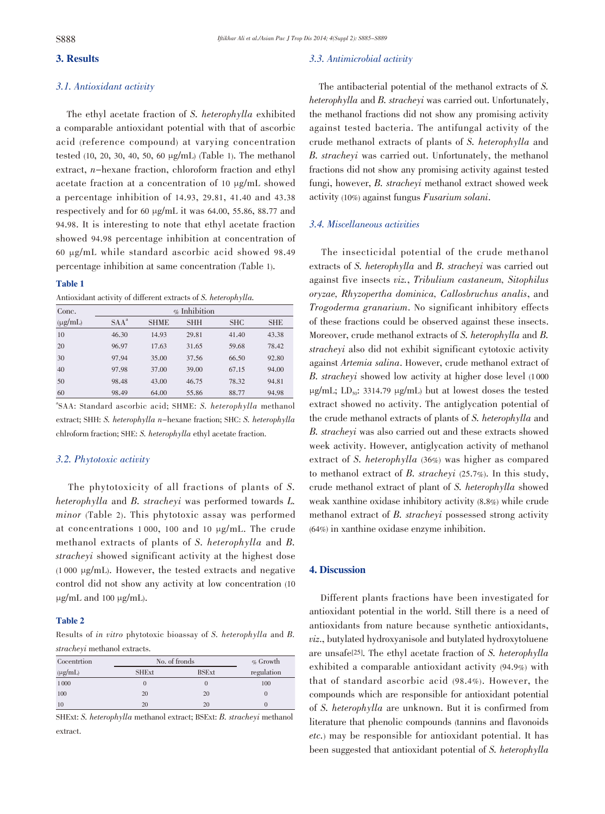# 3. Results

# 3.1. Antioxidant activity

The ethyl acetate fraction of S. heterophylla exhibited a comparable antioxidant potential with that of ascorbic acid (reference compound) at varying concentration tested (10, 20, 30, 40, 50, 60 µg/mL) (Table 1). The methanol extract, n-hexane fraction, chloroform fraction and ethyl acetate fraction at a concentration of 10 µg/mL showed a percentage inhibition of 14.93, 29.81, 41.40 and 43.38 respectively and for 60 µg/mL it was 64.00, 55.86, 88.77 and 94.98. It is interesting to note that ethyl acetate fraction showed 94.98 percentage inhibition at concentration of 60 µg/mL while standard ascorbic acid showed 98.49 percentage inhibition at same concentration (Table 1).

#### Table 1

Antioxidant activity of different extracts of S. heterophylla.

| Conc.        | $\%$ Inhibition |             |            |            |            |
|--------------|-----------------|-------------|------------|------------|------------|
| $(\mu g/mL)$ | $SAA^a$         | <b>SHME</b> | <b>SHH</b> | <b>SHC</b> | <b>SHE</b> |
| 10           | 46.30           | 14.93       | 29.81      | 41.40      | 43.38      |
| 20           | 96.97           | 17.63       | 31.65      | 59.68      | 78.42      |
| 30           | 97.94           | 35.00       | 37.56      | 66.50      | 92.80      |
| 40           | 97.98           | 37.00       | 39.00      | 67.15      | 94.00      |
| 50           | 98.48           | 43.00       | 46.75      | 78.32      | 94.81      |
| 60           | 98.49           | 64.00       | 55.86      | 88.77      | 94.98      |

a SAA: Standard ascorbic acid; SHME: S. heterophylla methanol extract; SHH: S. heterophylla n-hexane fraction; SHC: S. heterophylla chlroform fraction; SHE: S. heterophylla ethyl acetate fraction.

# 3.2. Phytotoxic activity

The phytotoxicity of all fractions of plants of S. heterophylla and B. stracheyi was performed towards L. minor (Table 2). This phytotoxic assay was performed at concentrations 1 000, 100 and 10 µg/mL. The crude methanol extracts of plants of S. heterophylla and B. stracheyi showed significant activity at the highest dose  $(1000 \mu g/mL)$ . However, the tested extracts and negative control did not show any activity at low concentration (10  $\mu$ g/mL and 100  $\mu$ g/mL).

#### Table 2

Results of in vitro phytotoxic bioassay of S. heterophylla and B. stracheyi methanol extracts.

| Cocentrion   | No. of fronds | $\%$ Growth  |               |
|--------------|---------------|--------------|---------------|
| $(\mu g/mL)$ | <b>SHExt</b>  | <b>BSExt</b> | regulation    |
| 1000         | 0             |              | 100           |
| 100          | 20            | 20           | $\theta$      |
| 10           | 20            | 20           | $\mathcal{O}$ |

SHExt: S. heterophylla methanol extract; BSExt: B. stracheyi methanol extract.

#### 3.3. Antimicrobial activity

The antibacterial potential of the methanol extracts of S. heterophylla and B. stracheyi was carried out. Unfortunately, the methanol fractions did not show any promising activity against tested bacteria. The antifungal activity of the crude methanol extracts of plants of S. heterophylla and B. stracheyi was carried out. Unfortunately, the methanol fractions did not show any promising activity against tested fungi, however, B. stracheyi methanol extract showed week activity (10%) against fungus Fusarium solani.

#### 3.4. Miscellaneous activities

The insecticidal potential of the crude methanol extracts of S. heterophylla and B. stracheyi was carried out against five insects viz., Tribulium castaneum, Sitophilus oryzae, Rhyzopertha dominica, Callosbruchus analis, and Trogoderma granarium. No significant inhibitory effects of these fractions could be observed against these insects. Moreover, crude methanol extracts of S. heterophylla and B. stracheyi also did not exhibit significant cytotoxic activity against Artemia salina. However, crude methanol extract of B. stracheyi showed low activity at higher dose level (1 <sup>000</sup>  $\mu$ g/mL; LD<sub>50</sub>: 3314.79  $\mu$ g/mL) but at lowest doses the tested extract showed no activity. The antiglycation potential of the crude methanol extracts of plants of S. heterophylla and B. stracheyi was also carried out and these extracts showed week activity. However, antiglycation activity of methanol extract of S. heterophylla (36%) was higher as compared to methanol extract of B. stracheyi (25.7%). In this study, crude methanol extract of plant of S. heterophylla showed weak xanthine oxidase inhibitory activity (8.8%) while crude methanol extract of B. stracheyi possessed strong activity (64%) in xanthine oxidase enzyme inhibition.

# 4. Discussion

Different plants fractions have been investigated for antioxidant potential in the world. Still there is a need of antioxidants from nature because synthetic antioxidants, viz., butylated hydroxyanisole and butylated hydroxytoluene are unsafe[25]. The ethyl acetate fraction of S. heterophylla exhibited a comparable antioxidant activity (94.9%) with that of standard ascorbic acid (98.4%). However, the compounds which are responsible for antioxidant potential of S. heterophylla are unknown. But it is confirmed from literature that phenolic compounds (tannins and flavonoids etc.) may be responsible for antioxidant potential. It has been suggested that antioxidant potential of S. heterophylla